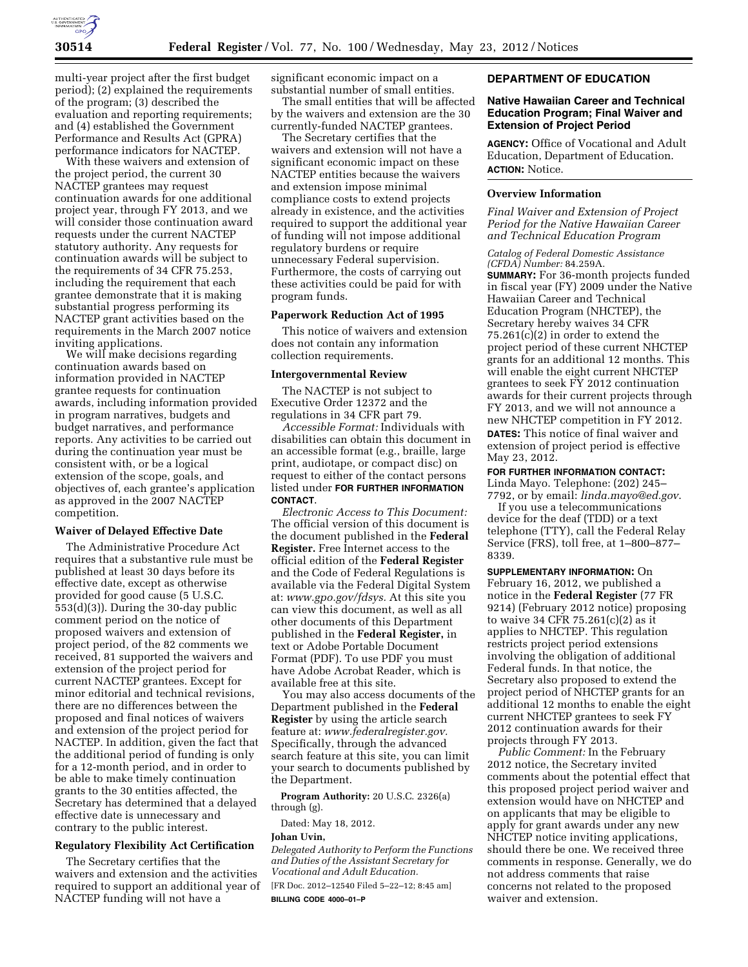

multi-year project after the first budget period); (2) explained the requirements of the program; (3) described the evaluation and reporting requirements; and (4) established the Government Performance and Results Act (GPRA) performance indicators for NACTEP.

With these waivers and extension of the project period, the current 30 NACTEP grantees may request continuation awards for one additional project year, through FY 2013, and we will consider those continuation award requests under the current NACTEP statutory authority. Any requests for continuation awards will be subject to the requirements of 34 CFR 75.253, including the requirement that each grantee demonstrate that it is making substantial progress performing its NACTEP grant activities based on the requirements in the March 2007 notice inviting applications.

We will make decisions regarding continuation awards based on information provided in NACTEP grantee requests for continuation awards, including information provided in program narratives, budgets and budget narratives, and performance reports. Any activities to be carried out during the continuation year must be consistent with, or be a logical extension of the scope, goals, and objectives of, each grantee's application as approved in the 2007 NACTEP competition.

# **Waiver of Delayed Effective Date**

The Administrative Procedure Act requires that a substantive rule must be published at least 30 days before its effective date, except as otherwise provided for good cause (5 U.S.C. 553(d)(3)). During the 30-day public comment period on the notice of proposed waivers and extension of project period, of the 82 comments we received, 81 supported the waivers and extension of the project period for current NACTEP grantees. Except for minor editorial and technical revisions, there are no differences between the proposed and final notices of waivers and extension of the project period for NACTEP. In addition, given the fact that the additional period of funding is only for a 12-month period, and in order to be able to make timely continuation grants to the 30 entities affected, the Secretary has determined that a delayed effective date is unnecessary and contrary to the public interest.

# **Regulatory Flexibility Act Certification**

The Secretary certifies that the waivers and extension and the activities required to support an additional year of NACTEP funding will not have a

significant economic impact on a substantial number of small entities.

The small entities that will be affected by the waivers and extension are the 30 currently-funded NACTEP grantees.

The Secretary certifies that the waivers and extension will not have a significant economic impact on these NACTEP entities because the waivers and extension impose minimal compliance costs to extend projects already in existence, and the activities required to support the additional year of funding will not impose additional regulatory burdens or require unnecessary Federal supervision. Furthermore, the costs of carrying out these activities could be paid for with program funds.

## **Paperwork Reduction Act of 1995**

This notice of waivers and extension does not contain any information collection requirements.

## **Intergovernmental Review**

The NACTEP is not subject to Executive Order 12372 and the regulations in 34 CFR part 79.

*Accessible Format:* Individuals with disabilities can obtain this document in an accessible format (e.g., braille, large print, audiotape, or compact disc) on request to either of the contact persons listed under **FOR FURTHER INFORMATION CONTACT**.

*Electronic Access to This Document:*  The official version of this document is the document published in the **Federal Register.** Free Internet access to the official edition of the **Federal Register**  and the Code of Federal Regulations is available via the Federal Digital System at: *[www.gpo.gov/fdsys.](http://www.gpo.gov/fdsys)* At this site you can view this document, as well as all other documents of this Department published in the **Federal Register,** in text or Adobe Portable Document Format (PDF). To use PDF you must have Adobe Acrobat Reader, which is available free at this site.

You may also access documents of the Department published in the **Federal Register** by using the article search feature at: *[www.federalregister.gov.](http://www.federalregister.gov)*  Specifically, through the advanced search feature at this site, you can limit your search to documents published by the Department.

**Program Authority:** 20 U.S.C. 2326(a) through (g).

Dated: May 18, 2012.

# **Johan Uvin,**

*Delegated Authority to Perform the Functions and Duties of the Assistant Secretary for Vocational and Adult Education.* 

[FR Doc. 2012–12540 Filed 5–22–12; 8:45 am] **BILLING CODE 4000–01–P** 

# **DEPARTMENT OF EDUCATION**

# **Native Hawaiian Career and Technical Education Program; Final Waiver and Extension of Project Period**

**AGENCY:** Office of Vocational and Adult Education, Department of Education. **ACTION:** Notice.

# **Overview Information**

*Final Waiver and Extension of Project Period for the Native Hawaiian Career and Technical Education Program* 

*Catalog of Federal Domestic Assistance (CFDA) Number:* 84.259A.

**SUMMARY:** For 36-month projects funded in fiscal year (FY) 2009 under the Native Hawaiian Career and Technical Education Program (NHCTEP), the Secretary hereby waives 34 CFR 75.261(c)(2) in order to extend the project period of these current NHCTEP grants for an additional 12 months. This will enable the eight current NHCTEP grantees to seek FY 2012 continuation awards for their current projects through FY 2013, and we will not announce a new NHCTEP competition in FY 2012. **DATES:** This notice of final waiver and extension of project period is effective May 23, 2012.

# **FOR FURTHER INFORMATION CONTACT:**

Linda Mayo. Telephone: (202) 245– 7792, or by email: *[linda.mayo@ed.gov](mailto:linda.mayo@ed.gov)*.

If you use a telecommunications device for the deaf (TDD) or a text telephone (TTY), call the Federal Relay Service (FRS), toll free, at 1–800–877– 8339.

**SUPPLEMENTARY INFORMATION:** On February 16, 2012, we published a notice in the **Federal Register** (77 FR 9214) (February 2012 notice) proposing to waive 34 CFR 75.261(c)(2) as it applies to NHCTEP. This regulation restricts project period extensions involving the obligation of additional Federal funds. In that notice, the Secretary also proposed to extend the project period of NHCTEP grants for an additional 12 months to enable the eight current NHCTEP grantees to seek FY 2012 continuation awards for their projects through FY 2013.

*Public Comment:* In the February 2012 notice, the Secretary invited comments about the potential effect that this proposed project period waiver and extension would have on NHCTEP and on applicants that may be eligible to apply for grant awards under any new NHCTEP notice inviting applications, should there be one. We received three comments in response. Generally, we do not address comments that raise concerns not related to the proposed waiver and extension.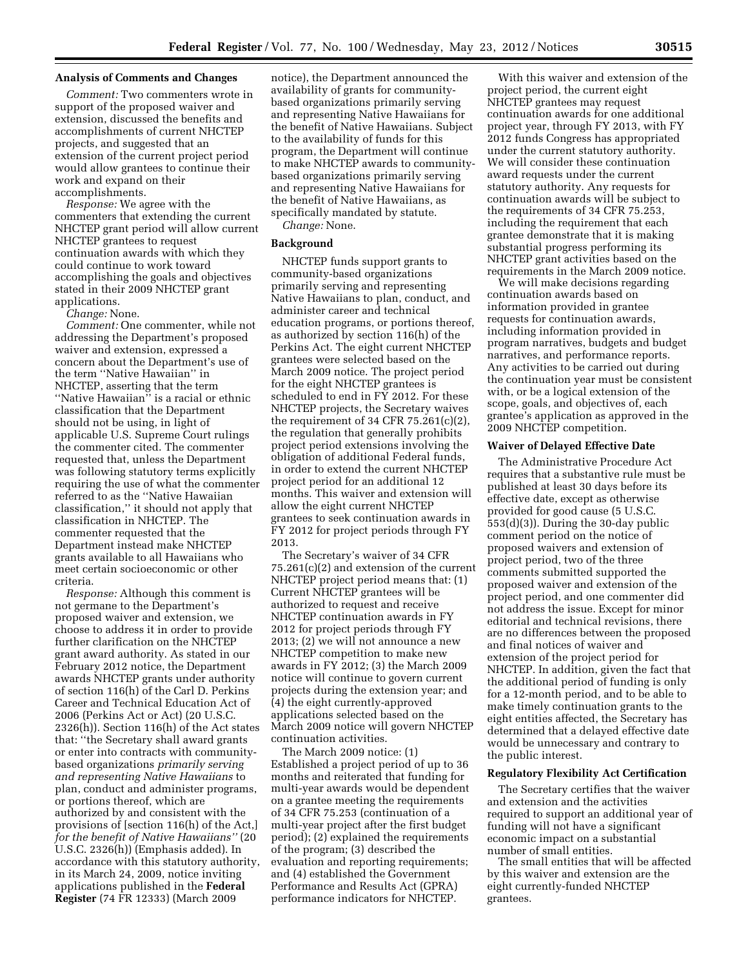## **Analysis of Comments and Changes**

*Comment:* Two commenters wrote in support of the proposed waiver and extension, discussed the benefits and accomplishments of current NHCTEP projects, and suggested that an extension of the current project period would allow grantees to continue their work and expand on their accomplishments.

*Response:* We agree with the commenters that extending the current NHCTEP grant period will allow current NHCTEP grantees to request continuation awards with which they could continue to work toward accomplishing the goals and objectives stated in their 2009 NHCTEP grant applications.

*Change:* None.

*Comment:* One commenter, while not addressing the Department's proposed waiver and extension, expressed a concern about the Department's use of the term ''Native Hawaiian'' in NHCTEP, asserting that the term ''Native Hawaiian'' is a racial or ethnic classification that the Department should not be using, in light of applicable U.S. Supreme Court rulings the commenter cited. The commenter requested that, unless the Department was following statutory terms explicitly requiring the use of what the commenter referred to as the ''Native Hawaiian classification,'' it should not apply that classification in NHCTEP. The commenter requested that the Department instead make NHCTEP grants available to all Hawaiians who meet certain socioeconomic or other criteria.

*Response:* Although this comment is not germane to the Department's proposed waiver and extension, we choose to address it in order to provide further clarification on the NHCTEP grant award authority. As stated in our February 2012 notice, the Department awards NHCTEP grants under authority of section 116(h) of the Carl D. Perkins Career and Technical Education Act of 2006 (Perkins Act or Act) (20 U.S.C. 2326(h)). Section 116(h) of the Act states that: ''the Secretary shall award grants or enter into contracts with communitybased organizations *primarily serving and representing Native Hawaiians* to plan, conduct and administer programs, or portions thereof, which are authorized by and consistent with the provisions of [section 116(h) of the Act,] *for the benefit of Native Hawaiians''* (20 U.S.C. 2326(h)) (Emphasis added). In accordance with this statutory authority, in its March 24, 2009, notice inviting applications published in the **Federal Register** (74 FR 12333) (March 2009

notice), the Department announced the availability of grants for communitybased organizations primarily serving and representing Native Hawaiians for the benefit of Native Hawaiians. Subject to the availability of funds for this program, the Department will continue to make NHCTEP awards to communitybased organizations primarily serving and representing Native Hawaiians for the benefit of Native Hawaiians, as specifically mandated by statute.

*Change:* None.

## **Background**

NHCTEP funds support grants to community-based organizations primarily serving and representing Native Hawaiians to plan, conduct, and administer career and technical education programs, or portions thereof, as authorized by section 116(h) of the Perkins Act. The eight current NHCTEP grantees were selected based on the March 2009 notice. The project period for the eight NHCTEP grantees is scheduled to end in  $F\bar{Y}$  2012. For these NHCTEP projects, the Secretary waives the requirement of 34 CFR  $75.261(c)(2)$ , the regulation that generally prohibits project period extensions involving the obligation of additional Federal funds, in order to extend the current NHCTEP project period for an additional 12 months. This waiver and extension will allow the eight current NHCTEP grantees to seek continuation awards in FY 2012 for project periods through FY 2013.

The Secretary's waiver of 34 CFR 75.261(c)(2) and extension of the current NHCTEP project period means that: (1) Current NHCTEP grantees will be authorized to request and receive NHCTEP continuation awards in FY 2012 for project periods through FY 2013; (2) we will not announce a new NHCTEP competition to make new awards in FY 2012; (3) the March 2009 notice will continue to govern current projects during the extension year; and (4) the eight currently-approved applications selected based on the March 2009 notice will govern NHCTEP continuation activities.

The March 2009 notice: (1) Established a project period of up to 36 months and reiterated that funding for multi-year awards would be dependent on a grantee meeting the requirements of 34 CFR 75.253 (continuation of a multi-year project after the first budget period); (2) explained the requirements of the program; (3) described the evaluation and reporting requirements; and (4) established the Government Performance and Results Act (GPRA) performance indicators for NHCTEP.

With this waiver and extension of the project period, the current eight NHCTEP grantees may request continuation awards for one additional project year, through FY 2013, with FY 2012 funds Congress has appropriated under the current statutory authority. We will consider these continuation award requests under the current statutory authority. Any requests for continuation awards will be subject to the requirements of 34 CFR 75.253, including the requirement that each grantee demonstrate that it is making substantial progress performing its NHCTEP grant activities based on the requirements in the March 2009 notice.

We will make decisions regarding continuation awards based on information provided in grantee requests for continuation awards, including information provided in program narratives, budgets and budget narratives, and performance reports. Any activities to be carried out during the continuation year must be consistent with, or be a logical extension of the scope, goals, and objectives of, each grantee's application as approved in the 2009 NHCTEP competition.

#### **Waiver of Delayed Effective Date**

The Administrative Procedure Act requires that a substantive rule must be published at least 30 days before its effective date, except as otherwise provided for good cause (5 U.S.C. 553(d)(3)). During the 30-day public comment period on the notice of proposed waivers and extension of project period, two of the three comments submitted supported the proposed waiver and extension of the project period, and one commenter did not address the issue. Except for minor editorial and technical revisions, there are no differences between the proposed and final notices of waiver and extension of the project period for NHCTEP. In addition, given the fact that the additional period of funding is only for a 12-month period, and to be able to make timely continuation grants to the eight entities affected, the Secretary has determined that a delayed effective date would be unnecessary and contrary to the public interest.

#### **Regulatory Flexibility Act Certification**

The Secretary certifies that the waiver and extension and the activities required to support an additional year of funding will not have a significant economic impact on a substantial number of small entities.

The small entities that will be affected by this waiver and extension are the eight currently-funded NHCTEP grantees.